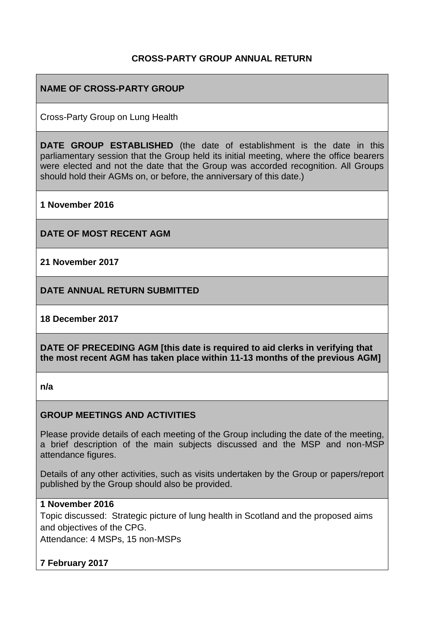#### **CROSS-PARTY GROUP ANNUAL RETURN**

#### **NAME OF CROSS-PARTY GROUP**

Cross-Party Group on Lung Health

**DATE GROUP ESTABLISHED** (the date of establishment is the date in this parliamentary session that the Group held its initial meeting, where the office bearers were elected and not the date that the Group was accorded recognition. All Groups should hold their AGMs on, or before, the anniversary of this date.)

**1 November 2016**

**DATE OF MOST RECENT AGM**

**21 November 2017**

**DATE ANNUAL RETURN SUBMITTED**

**18 December 2017**

**DATE OF PRECEDING AGM [this date is required to aid clerks in verifying that the most recent AGM has taken place within 11-13 months of the previous AGM]**

**n/a**

#### **GROUP MEETINGS AND ACTIVITIES**

Please provide details of each meeting of the Group including the date of the meeting, a brief description of the main subjects discussed and the MSP and non-MSP attendance figures.

Details of any other activities, such as visits undertaken by the Group or papers/report published by the Group should also be provided.

#### **1 November 2016**

Topic discussed: Strategic picture of lung health in Scotland and the proposed aims and objectives of the CPG.

Attendance: 4 MSPs, 15 non-MSPs

# **7 February 2017**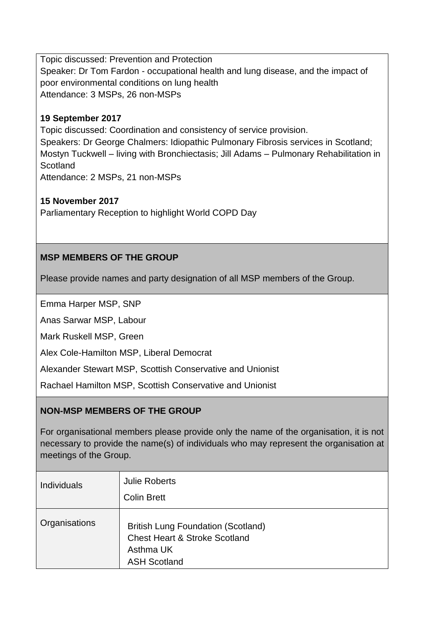Topic discussed: Prevention and Protection Speaker: Dr Tom Fardon - occupational health and lung disease, and the impact of poor environmental conditions on lung health Attendance: 3 MSPs, 26 non-MSPs

#### **19 September 2017**

Topic discussed: Coordination and consistency of service provision. Speakers: Dr George Chalmers: Idiopathic Pulmonary Fibrosis services in Scotland; Mostyn Tuckwell – living with Bronchiectasis; Jill Adams – Pulmonary Rehabilitation in **Scotland** Attendance: 2 MSPs, 21 non-MSPs

**15 November 2017** Parliamentary Reception to highlight World COPD Day

## **MSP MEMBERS OF THE GROUP**

Please provide names and party designation of all MSP members of the Group.

Emma Harper MSP, SNP

Anas Sarwar MSP, Labour

Mark Ruskell MSP, Green

Alex Cole-Hamilton MSP, Liberal Democrat

Alexander Stewart MSP, Scottish Conservative and Unionist

Rachael Hamilton MSP, Scottish Conservative and Unionist

## **NON-MSP MEMBERS OF THE GROUP**

For organisational members please provide only the name of the organisation, it is not necessary to provide the name(s) of individuals who may represent the organisation at meetings of the Group.

| <b>Individuals</b> | <b>Julie Roberts</b><br><b>Colin Brett</b>                                                                                |
|--------------------|---------------------------------------------------------------------------------------------------------------------------|
| Organisations      | <b>British Lung Foundation (Scotland)</b><br><b>Chest Heart &amp; Stroke Scotland</b><br>Asthma UK<br><b>ASH Scotland</b> |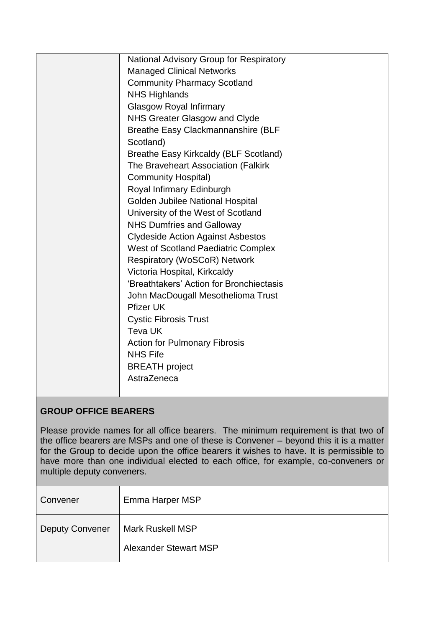| <b>National Advisory Group for Respiratory</b><br><b>Managed Clinical Networks</b><br><b>Community Pharmacy Scotland</b><br><b>NHS Highlands</b><br><b>Glasgow Royal Infirmary</b><br>NHS Greater Glasgow and Clyde<br>Breathe Easy Clackmannanshire (BLF<br>Scotland)<br>Breathe Easy Kirkcaldy (BLF Scotland)<br>The Braveheart Association (Falkirk<br><b>Community Hospital)</b><br>Royal Infirmary Edinburgh<br>Golden Jubilee National Hospital<br>University of the West of Scotland<br><b>NHS Dumfries and Galloway</b><br><b>Clydeside Action Against Asbestos</b><br><b>West of Scotland Paediatric Complex</b><br><b>Respiratory (WoSCoR) Network</b><br>Victoria Hospital, Kirkcaldy<br>'Breathtakers' Action for Bronchiectasis<br>John MacDougall Mesothelioma Trust<br><b>Pfizer UK</b><br><b>Cystic Fibrosis Trust</b><br>Teva UK<br><b>Action for Pulmonary Fibrosis</b><br><b>NHS Fife</b><br><b>BREATH</b> project<br>AstraZeneca |  |
|------------------------------------------------------------------------------------------------------------------------------------------------------------------------------------------------------------------------------------------------------------------------------------------------------------------------------------------------------------------------------------------------------------------------------------------------------------------------------------------------------------------------------------------------------------------------------------------------------------------------------------------------------------------------------------------------------------------------------------------------------------------------------------------------------------------------------------------------------------------------------------------------------------------------------------------------------|--|
|                                                                                                                                                                                                                                                                                                                                                                                                                                                                                                                                                                                                                                                                                                                                                                                                                                                                                                                                                      |  |
|                                                                                                                                                                                                                                                                                                                                                                                                                                                                                                                                                                                                                                                                                                                                                                                                                                                                                                                                                      |  |
|                                                                                                                                                                                                                                                                                                                                                                                                                                                                                                                                                                                                                                                                                                                                                                                                                                                                                                                                                      |  |
|                                                                                                                                                                                                                                                                                                                                                                                                                                                                                                                                                                                                                                                                                                                                                                                                                                                                                                                                                      |  |
|                                                                                                                                                                                                                                                                                                                                                                                                                                                                                                                                                                                                                                                                                                                                                                                                                                                                                                                                                      |  |
|                                                                                                                                                                                                                                                                                                                                                                                                                                                                                                                                                                                                                                                                                                                                                                                                                                                                                                                                                      |  |
|                                                                                                                                                                                                                                                                                                                                                                                                                                                                                                                                                                                                                                                                                                                                                                                                                                                                                                                                                      |  |
|                                                                                                                                                                                                                                                                                                                                                                                                                                                                                                                                                                                                                                                                                                                                                                                                                                                                                                                                                      |  |
|                                                                                                                                                                                                                                                                                                                                                                                                                                                                                                                                                                                                                                                                                                                                                                                                                                                                                                                                                      |  |
|                                                                                                                                                                                                                                                                                                                                                                                                                                                                                                                                                                                                                                                                                                                                                                                                                                                                                                                                                      |  |
|                                                                                                                                                                                                                                                                                                                                                                                                                                                                                                                                                                                                                                                                                                                                                                                                                                                                                                                                                      |  |
|                                                                                                                                                                                                                                                                                                                                                                                                                                                                                                                                                                                                                                                                                                                                                                                                                                                                                                                                                      |  |
|                                                                                                                                                                                                                                                                                                                                                                                                                                                                                                                                                                                                                                                                                                                                                                                                                                                                                                                                                      |  |
|                                                                                                                                                                                                                                                                                                                                                                                                                                                                                                                                                                                                                                                                                                                                                                                                                                                                                                                                                      |  |
|                                                                                                                                                                                                                                                                                                                                                                                                                                                                                                                                                                                                                                                                                                                                                                                                                                                                                                                                                      |  |
|                                                                                                                                                                                                                                                                                                                                                                                                                                                                                                                                                                                                                                                                                                                                                                                                                                                                                                                                                      |  |
|                                                                                                                                                                                                                                                                                                                                                                                                                                                                                                                                                                                                                                                                                                                                                                                                                                                                                                                                                      |  |
|                                                                                                                                                                                                                                                                                                                                                                                                                                                                                                                                                                                                                                                                                                                                                                                                                                                                                                                                                      |  |
|                                                                                                                                                                                                                                                                                                                                                                                                                                                                                                                                                                                                                                                                                                                                                                                                                                                                                                                                                      |  |
|                                                                                                                                                                                                                                                                                                                                                                                                                                                                                                                                                                                                                                                                                                                                                                                                                                                                                                                                                      |  |
|                                                                                                                                                                                                                                                                                                                                                                                                                                                                                                                                                                                                                                                                                                                                                                                                                                                                                                                                                      |  |
|                                                                                                                                                                                                                                                                                                                                                                                                                                                                                                                                                                                                                                                                                                                                                                                                                                                                                                                                                      |  |
|                                                                                                                                                                                                                                                                                                                                                                                                                                                                                                                                                                                                                                                                                                                                                                                                                                                                                                                                                      |  |
|                                                                                                                                                                                                                                                                                                                                                                                                                                                                                                                                                                                                                                                                                                                                                                                                                                                                                                                                                      |  |
|                                                                                                                                                                                                                                                                                                                                                                                                                                                                                                                                                                                                                                                                                                                                                                                                                                                                                                                                                      |  |
|                                                                                                                                                                                                                                                                                                                                                                                                                                                                                                                                                                                                                                                                                                                                                                                                                                                                                                                                                      |  |
|                                                                                                                                                                                                                                                                                                                                                                                                                                                                                                                                                                                                                                                                                                                                                                                                                                                                                                                                                      |  |
|                                                                                                                                                                                                                                                                                                                                                                                                                                                                                                                                                                                                                                                                                                                                                                                                                                                                                                                                                      |  |
|                                                                                                                                                                                                                                                                                                                                                                                                                                                                                                                                                                                                                                                                                                                                                                                                                                                                                                                                                      |  |

## **GROUP OFFICE BEARERS**

Please provide names for all office bearers. The minimum requirement is that two of the office bearers are MSPs and one of these is Convener – beyond this it is a matter for the Group to decide upon the office bearers it wishes to have. It is permissible to have more than one individual elected to each office, for example, co-conveners or multiple deputy conveners.

| Convener               | Emma Harper MSP                                         |
|------------------------|---------------------------------------------------------|
| <b>Deputy Convener</b> | <b>Mark Ruskell MSP</b><br><b>Alexander Stewart MSP</b> |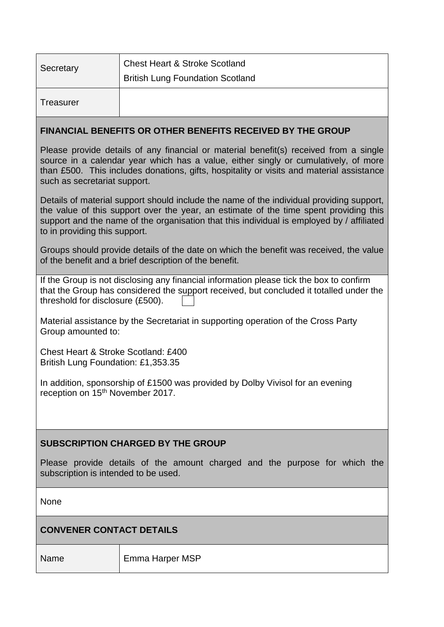| Secretary                                                                                                                                                                                                                                                                                                       | <b>Chest Heart &amp; Stroke Scotland</b>                                   |  |
|-----------------------------------------------------------------------------------------------------------------------------------------------------------------------------------------------------------------------------------------------------------------------------------------------------------------|----------------------------------------------------------------------------|--|
|                                                                                                                                                                                                                                                                                                                 | <b>British Lung Foundation Scotland</b>                                    |  |
| Treasurer                                                                                                                                                                                                                                                                                                       |                                                                            |  |
| FINANCIAL BENEFITS OR OTHER BENEFITS RECEIVED BY THE GROUP                                                                                                                                                                                                                                                      |                                                                            |  |
| Please provide details of any financial or material benefit(s) received from a single<br>source in a calendar year which has a value, either singly or cumulatively, of more<br>than £500. This includes donations, gifts, hospitality or visits and material assistance<br>such as secretariat support.        |                                                                            |  |
| Details of material support should include the name of the individual providing support,<br>the value of this support over the year, an estimate of the time spent providing this<br>support and the name of the organisation that this individual is employed by / affiliated<br>to in providing this support. |                                                                            |  |
| Groups should provide details of the date on which the benefit was received, the value<br>of the benefit and a brief description of the benefit.                                                                                                                                                                |                                                                            |  |
| If the Group is not disclosing any financial information please tick the box to confirm<br>that the Group has considered the support received, but concluded it totalled under the<br>threshold for disclosure (£500).                                                                                          |                                                                            |  |
| Material assistance by the Secretariat in supporting operation of the Cross Party<br>Group amounted to:                                                                                                                                                                                                         |                                                                            |  |
| Chest Heart & Stroke Scotland: £400<br>British Lung Foundation: £1,353.35                                                                                                                                                                                                                                       |                                                                            |  |
| In addition, sponsorship of £1500 was provided by Dolby Vivisol for an evening<br>reception on 15 <sup>th</sup> November 2017.                                                                                                                                                                                  |                                                                            |  |
|                                                                                                                                                                                                                                                                                                                 |                                                                            |  |
| <b>SUBSCRIPTION CHARGED BY THE GROUP</b>                                                                                                                                                                                                                                                                        |                                                                            |  |
| subscription is intended to be used.                                                                                                                                                                                                                                                                            | Please provide details of the amount charged and the purpose for which the |  |
| None                                                                                                                                                                                                                                                                                                            |                                                                            |  |

# **CONVENER CONTACT DETAILS**

Name Emma Harper MSP